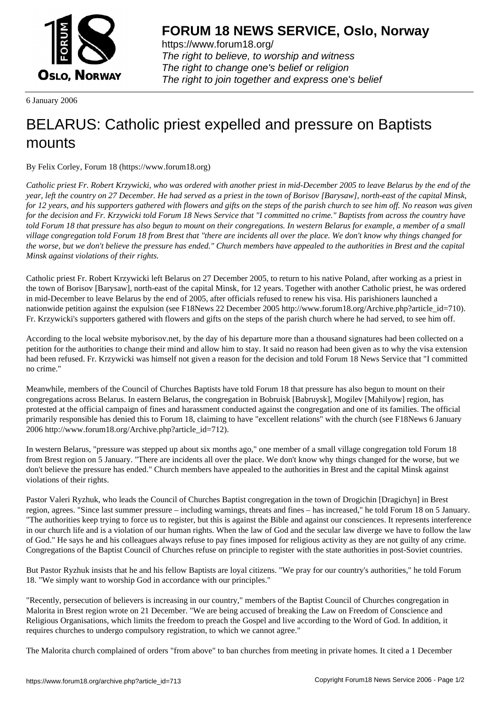

https://www.forum18.org/ The right to believe, to worship and witness The right to change one's belief or religion [The right to join together a](https://www.forum18.org/)nd express one's belief

6 January 2006

## [BELARUS: Cat](https://www.forum18.org)holic priest expelled and pressure on Baptists mounts

By Felix Corley, Forum 18 (https://www.forum18.org)

*Catholic priest Fr. Robert Krzywicki, who was ordered with another priest in mid-December 2005 to leave Belarus by the end of the year, left the country on 27 December. He had served as a priest in the town of Borisov [Barysaw], north-east of the capital Minsk, for 12 years, and his supporters gathered with flowers and gifts on the steps of the parish church to see him off. No reason was given for the decision and Fr. Krzywicki told Forum 18 News Service that "I committed no crime." Baptists from across the country have told Forum 18 that pressure has also begun to mount on their congregations. In western Belarus for example, a member of a small village congregation told Forum 18 from Brest that "there are incidents all over the place. We don't know why things changed for the worse, but we don't believe the pressure has ended." Church members have appealed to the authorities in Brest and the capital Minsk against violations of their rights.*

Catholic priest Fr. Robert Krzywicki left Belarus on 27 December 2005, to return to his native Poland, after working as a priest in the town of Borisov [Barysaw], north-east of the capital Minsk, for 12 years. Together with another Catholic priest, he was ordered in mid-December to leave Belarus by the end of 2005, after officials refused to renew his visa. His parishioners launched a nationwide petition against the expulsion (see F18News 22 December 2005 http://www.forum18.org/Archive.php?article\_id=710). Fr. Krzywicki's supporters gathered with flowers and gifts on the steps of the parish church where he had served, to see him off.

According to the local website myborisov.net, by the day of his departure more than a thousand signatures had been collected on a petition for the authorities to change their mind and allow him to stay. It said no reason had been given as to why the visa extension had been refused. Fr. Krzywicki was himself not given a reason for the decision and told Forum 18 News Service that "I committed no crime."

Meanwhile, members of the Council of Churches Baptists have told Forum 18 that pressure has also begun to mount on their congregations across Belarus. In eastern Belarus, the congregation in Bobruisk [Babruysk], Mogilev [Mahilyow] region, has protested at the official campaign of fines and harassment conducted against the congregation and one of its families. The official primarily responsible has denied this to Forum 18, claiming to have "excellent relations" with the church (see F18News 6 January 2006 http://www.forum18.org/Archive.php?article\_id=712).

In western Belarus, "pressure was stepped up about six months ago," one member of a small village congregation told Forum 18 from Brest region on 5 January. "There are incidents all over the place. We don't know why things changed for the worse, but we don't believe the pressure has ended." Church members have appealed to the authorities in Brest and the capital Minsk against violations of their rights.

Pastor Valeri Ryzhuk, who leads the Council of Churches Baptist congregation in the town of Drogichin [Dragichyn] in Brest region, agrees. "Since last summer pressure – including warnings, threats and fines – has increased," he told Forum 18 on 5 January. "The authorities keep trying to force us to register, but this is against the Bible and against our consciences. It represents interference in our church life and is a violation of our human rights. When the law of God and the secular law diverge we have to follow the law of God." He says he and his colleagues always refuse to pay fines imposed for religious activity as they are not guilty of any crime. Congregations of the Baptist Council of Churches refuse on principle to register with the state authorities in post-Soviet countries.

But Pastor Ryzhuk insists that he and his fellow Baptists are loyal citizens. "We pray for our country's authorities," he told Forum 18. "We simply want to worship God in accordance with our principles."

"Recently, persecution of believers is increasing in our country," members of the Baptist Council of Churches congregation in Malorita in Brest region wrote on 21 December. "We are being accused of breaking the Law on Freedom of Conscience and Religious Organisations, which limits the freedom to preach the Gospel and live according to the Word of God. In addition, it requires churches to undergo compulsory registration, to which we cannot agree."

The Malorita church complained of orders "from above" to ban churches from meeting in private homes. It cited a 1 December